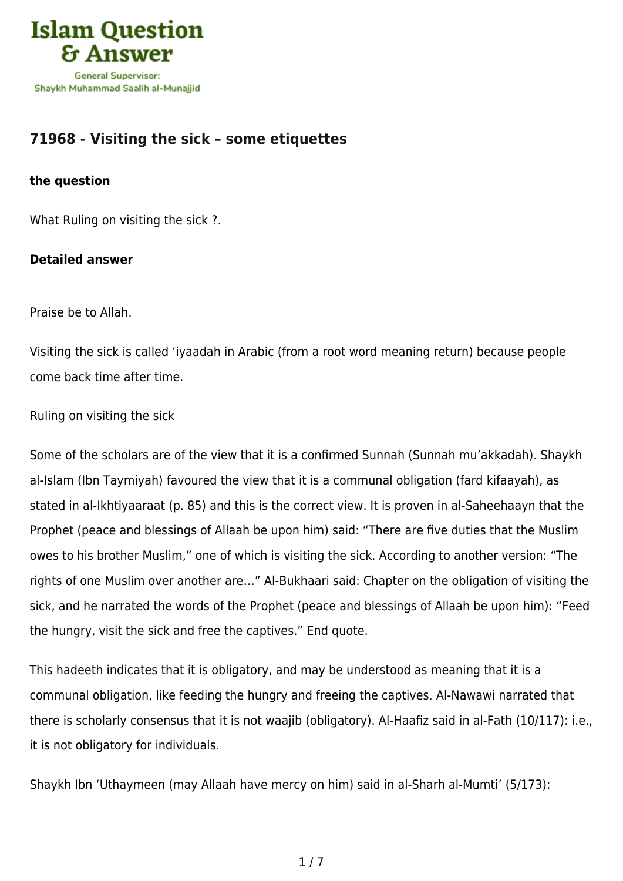

# **[71968 - Visiting the sick – some etiquettes](https://islamqa.com/en/answers/71968/visiting-the-sick-some-etiquettes)**

## **the question**

What Ruling on visiting the sick ?.

## **Detailed answer**

Praise be to Allah.

Visiting the sick is called 'iyaadah in Arabic (from a root word meaning return) because people come back time after time.

Ruling on visiting the sick

Some of the scholars are of the view that it is a confirmed Sunnah (Sunnah mu'akkadah). Shaykh al-Islam (Ibn Taymiyah) favoured the view that it is a communal obligation (fard kifaayah), as stated in al-Ikhtiyaaraat (p. 85) and this is the correct view. It is proven in al-Saheehaayn that the Prophet (peace and blessings of Allaah be upon him) said: "There are five duties that the Muslim owes to his brother Muslim," one of which is visiting the sick. According to another version: "The rights of one Muslim over another are…" Al-Bukhaari said: Chapter on the obligation of visiting the sick, and he narrated the words of the Prophet (peace and blessings of Allaah be upon him): "Feed the hungry, visit the sick and free the captives." End quote.

This hadeeth indicates that it is obligatory, and may be understood as meaning that it is a communal obligation, like feeding the hungry and freeing the captives. Al-Nawawi narrated that there is scholarly consensus that it is not waajib (obligatory). Al-Haafiz said in al-Fath (10/117): i.e., it is not obligatory for individuals.

Shaykh Ibn 'Uthaymeen (may Allaah have mercy on him) said in al-Sharh al-Mumti' (5/173):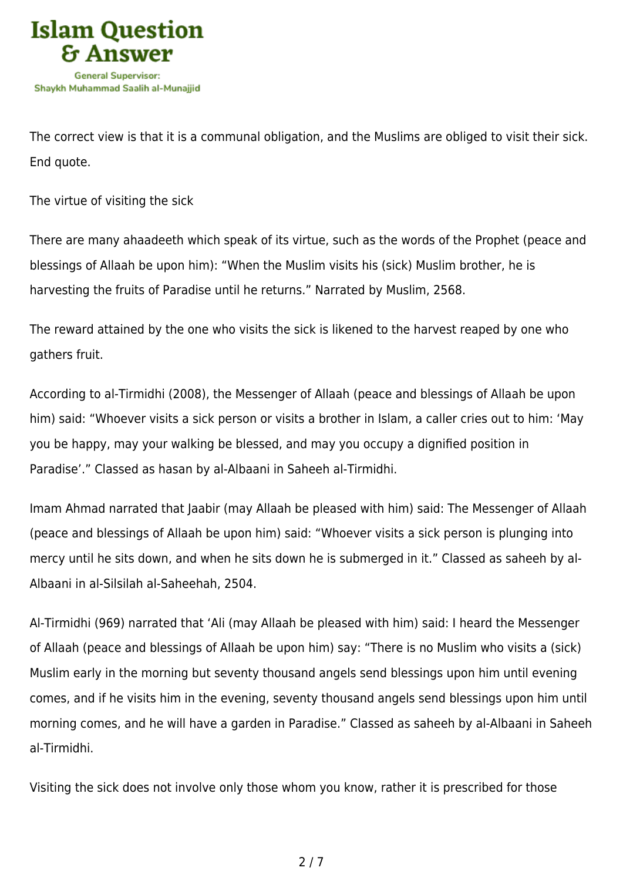

The correct view is that it is a communal obligation, and the Muslims are obliged to visit their sick. End quote.

The virtue of visiting the sick

There are many ahaadeeth which speak of its virtue, such as the words of the Prophet (peace and blessings of Allaah be upon him): "When the Muslim visits his (sick) Muslim brother, he is harvesting the fruits of Paradise until he returns." Narrated by Muslim, 2568.

The reward attained by the one who visits the sick is likened to the harvest reaped by one who gathers fruit.

According to al-Tirmidhi (2008), the Messenger of Allaah (peace and blessings of Allaah be upon him) said: "Whoever visits a sick person or visits a brother in Islam, a caller cries out to him: 'May you be happy, may your walking be blessed, and may you occupy a dignified position in Paradise'." Classed as hasan by al-Albaani in Saheeh al-Tirmidhi.

Imam Ahmad narrated that Jaabir (may Allaah be pleased with him) said: The Messenger of Allaah (peace and blessings of Allaah be upon him) said: "Whoever visits a sick person is plunging into mercy until he sits down, and when he sits down he is submerged in it." Classed as saheeh by al-Albaani in al-Silsilah al-Saheehah, 2504.

Al-Tirmidhi (969) narrated that 'Ali (may Allaah be pleased with him) said: I heard the Messenger of Allaah (peace and blessings of Allaah be upon him) say: "There is no Muslim who visits a (sick) Muslim early in the morning but seventy thousand angels send blessings upon him until evening comes, and if he visits him in the evening, seventy thousand angels send blessings upon him until morning comes, and he will have a garden in Paradise." Classed as saheeh by al-Albaani in Saheeh al-Tirmidhi.

Visiting the sick does not involve only those whom you know, rather it is prescribed for those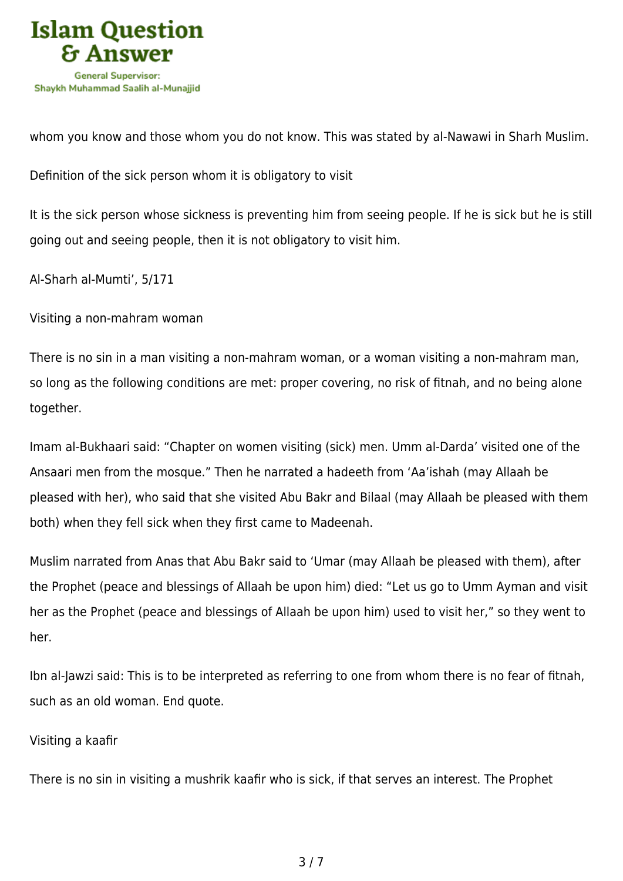

whom you know and those whom you do not know. This was stated by al-Nawawi in Sharh Muslim.

Definition of the sick person whom it is obligatory to visit

It is the sick person whose sickness is preventing him from seeing people. If he is sick but he is still going out and seeing people, then it is not obligatory to visit him.

Al-Sharh al-Mumti', 5/171

Visiting a non-mahram woman

There is no sin in a man visiting a non-mahram woman, or a woman visiting a non-mahram man, so long as the following conditions are met: proper covering, no risk of fitnah, and no being alone together.

Imam al-Bukhaari said: "Chapter on women visiting (sick) men. Umm al-Darda' visited one of the Ansaari men from the mosque." Then he narrated a hadeeth from 'Aa'ishah (may Allaah be pleased with her), who said that she visited Abu Bakr and Bilaal (may Allaah be pleased with them both) when they fell sick when they first came to Madeenah.

Muslim narrated from Anas that Abu Bakr said to 'Umar (may Allaah be pleased with them), after the Prophet (peace and blessings of Allaah be upon him) died: "Let us go to Umm Ayman and visit her as the Prophet (peace and blessings of Allaah be upon him) used to visit her," so they went to her.

Ibn al-Jawzi said: This is to be interpreted as referring to one from whom there is no fear of fitnah, such as an old woman. End quote.

## Visiting a kaafir

There is no sin in visiting a mushrik kaafir who is sick, if that serves an interest. The Prophet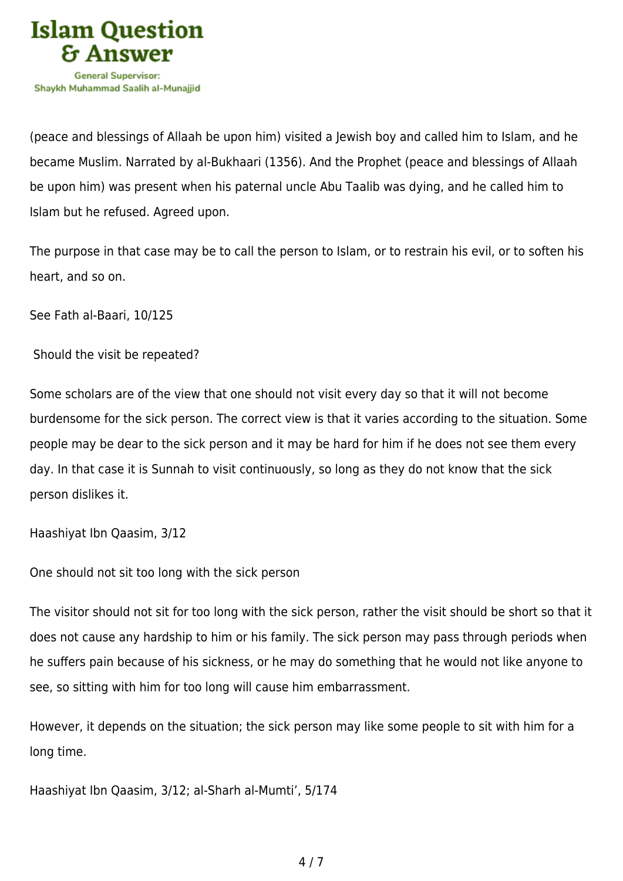

(peace and blessings of Allaah be upon him) visited a Jewish boy and called him to Islam, and he became Muslim. Narrated by al-Bukhaari (1356). And the Prophet (peace and blessings of Allaah be upon him) was present when his paternal uncle Abu Taalib was dying, and he called him to Islam but he refused. Agreed upon.

The purpose in that case may be to call the person to Islam, or to restrain his evil, or to soften his heart, and so on.

See Fath al-Baari, 10/125

Should the visit be repeated?

Some scholars are of the view that one should not visit every day so that it will not become burdensome for the sick person. The correct view is that it varies according to the situation. Some people may be dear to the sick person and it may be hard for him if he does not see them every day. In that case it is Sunnah to visit continuously, so long as they do not know that the sick person dislikes it.

Haashiyat Ibn Qaasim, 3/12

One should not sit too long with the sick person

The visitor should not sit for too long with the sick person, rather the visit should be short so that it does not cause any hardship to him or his family. The sick person may pass through periods when he suffers pain because of his sickness, or he may do something that he would not like anyone to see, so sitting with him for too long will cause him embarrassment.

However, it depends on the situation; the sick person may like some people to sit with him for a long time.

Haashiyat Ibn Qaasim, 3/12; al-Sharh al-Mumti', 5/174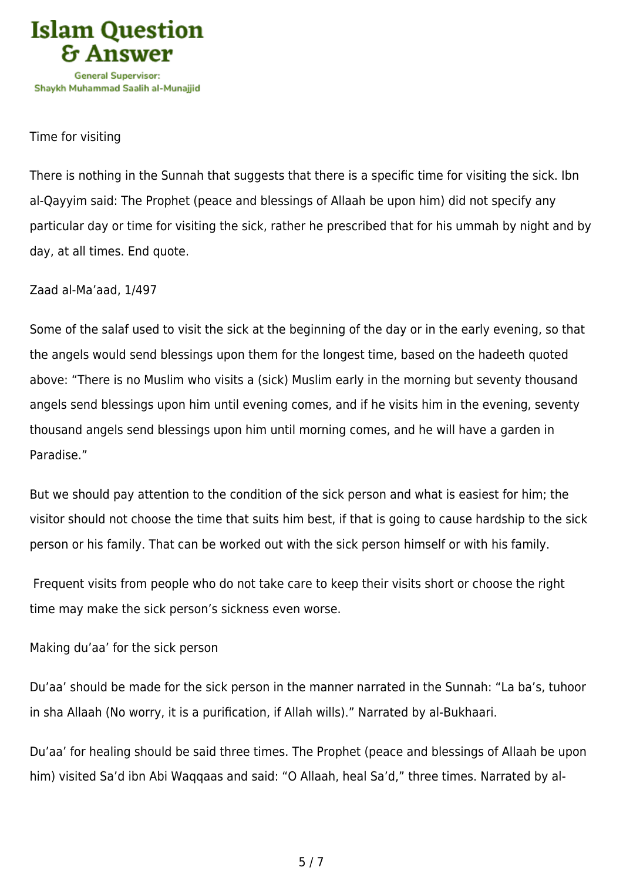

## Time for visiting

There is nothing in the Sunnah that suggests that there is a specific time for visiting the sick. Ibn al-Qayyim said: The Prophet (peace and blessings of Allaah be upon him) did not specify any particular day or time for visiting the sick, rather he prescribed that for his ummah by night and by day, at all times. End quote.

Zaad al-Ma'aad, 1/497

Some of the salaf used to visit the sick at the beginning of the day or in the early evening, so that the angels would send blessings upon them for the longest time, based on the hadeeth quoted above: "There is no Muslim who visits a (sick) Muslim early in the morning but seventy thousand angels send blessings upon him until evening comes, and if he visits him in the evening, seventy thousand angels send blessings upon him until morning comes, and he will have a garden in Paradise."

But we should pay attention to the condition of the sick person and what is easiest for him; the visitor should not choose the time that suits him best, if that is going to cause hardship to the sick person or his family. That can be worked out with the sick person himself or with his family.

 Frequent visits from people who do not take care to keep their visits short or choose the right time may make the sick person's sickness even worse.

Making du'aa' for the sick person

Du'aa' should be made for the sick person in the manner narrated in the Sunnah: "La ba's, tuhoor in sha Allaah (No worry, it is a purification, if Allah wills)." Narrated by al-Bukhaari.

Du'aa' for healing should be said three times. The Prophet (peace and blessings of Allaah be upon him) visited Sa'd ibn Abi Waqqaas and said: "O Allaah, heal Sa'd," three times. Narrated by al-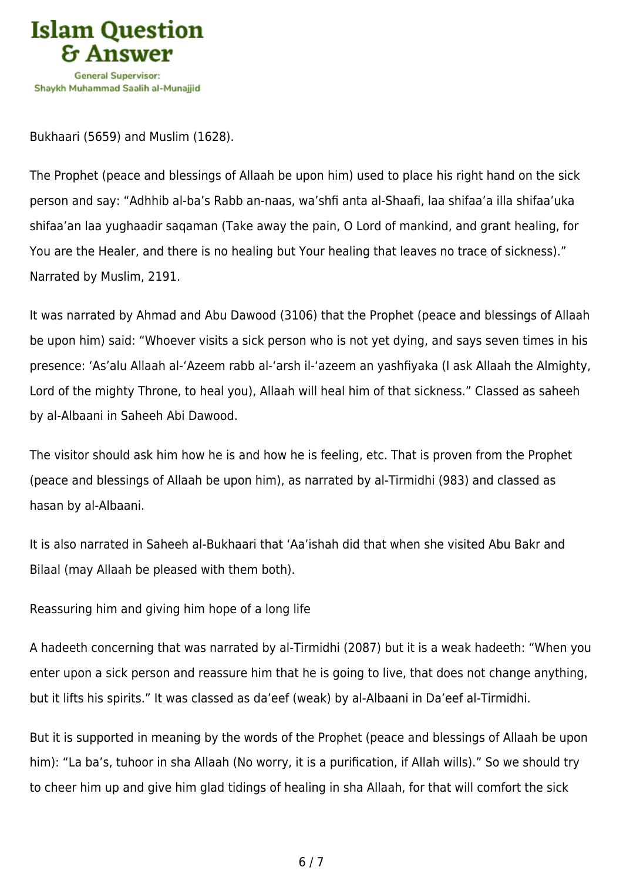

Bukhaari (5659) and Muslim (1628).

The Prophet (peace and blessings of Allaah be upon him) used to place his right hand on the sick person and say: "Adhhib al-ba's Rabb an-naas, wa'shfi anta al-Shaafi, laa shifaa'a illa shifaa'uka shifaa'an laa yughaadir saqaman (Take away the pain, O Lord of mankind, and grant healing, for You are the Healer, and there is no healing but Your healing that leaves no trace of sickness)." Narrated by Muslim, 2191.

It was narrated by Ahmad and Abu Dawood (3106) that the Prophet (peace and blessings of Allaah be upon him) said: "Whoever visits a sick person who is not yet dying, and says seven times in his presence: 'As'alu Allaah al-'Azeem rabb al-'arsh il-'azeem an yashfiyaka (I ask Allaah the Almighty, Lord of the mighty Throne, to heal you), Allaah will heal him of that sickness." Classed as saheeh by al-Albaani in Saheeh Abi Dawood.

The visitor should ask him how he is and how he is feeling, etc. That is proven from the Prophet (peace and blessings of Allaah be upon him), as narrated by al-Tirmidhi (983) and classed as hasan by al-Albaani.

It is also narrated in Saheeh al-Bukhaari that 'Aa'ishah did that when she visited Abu Bakr and Bilaal (may Allaah be pleased with them both).

Reassuring him and giving him hope of a long life

A hadeeth concerning that was narrated by al-Tirmidhi (2087) but it is a weak hadeeth: "When you enter upon a sick person and reassure him that he is going to live, that does not change anything, but it lifts his spirits." It was classed as da'eef (weak) by al-Albaani in Da'eef al-Tirmidhi.

But it is supported in meaning by the words of the Prophet (peace and blessings of Allaah be upon him): "La ba's, tuhoor in sha Allaah (No worry, it is a purification, if Allah wills)." So we should try to cheer him up and give him glad tidings of healing in sha Allaah, for that will comfort the sick